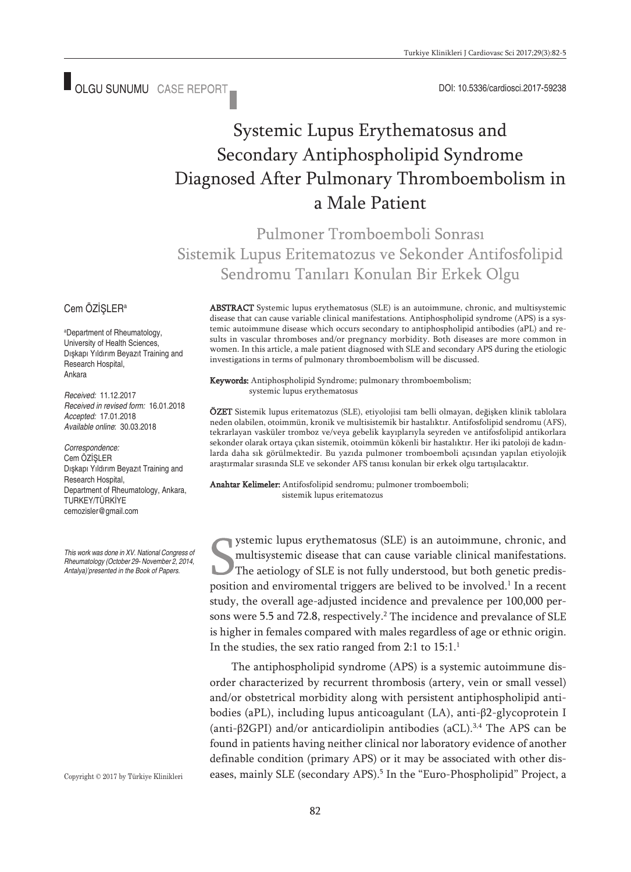■ OLGU SUNUMU CASE REPORT ■ 
■ OLGU SUNUMU CASE REPORT ■ 
■ OLGU SUNUMU CASE REPORT ■ 
■ OLGU SUNUMU CASE REPORT ■

# Systemic Lupus Erythematosus and Secondary Antiphospholipid Syndrome Diagnosed After Pulmonary Thromboembolism in a Male Patient

Pulmoner Tromboemboli Sonrası Sistemik Lupus Eritematozus ve Sekonder Antifosfolipid Sendromu Tanıları Konulan Bir Erkek Olgu

#### Cem ÖZİSLER<sup>a</sup>

a Department of Rheumatology, University of Health Sciences, Dışkapı Yıldırım Beyazıt Training and Research Hospital, Ankara

*Received:* 11.12.2017 *Received in revised form:* 16.01.2018 *Accepted:* 17.01.2018 *Available online*: 30.03.2018

*Correspondence:* Cem ÖZİŞLER Dışkapı Yıldırım Beyazıt Training and Research Hospital, Department of Rheumatology, Ankara, TURKEY/TÜRKİYE cemozisler@gmail.com

*This work was done in XV. National Congress of Rheumatology (October 29- November 2, 2014, Antalya)'presented in the Book of Papers.*

Copyright © 2017 by Türkiye Klinikleri

ABSTRACT Systemic lupus erythematosus (SLE) is an autoimmune, chronic, and multisystemic disease that can cause variable clinical manifestations. Antiphospholipid syndrome (APS) is a systemic autoimmune disease which occurs secondary to antiphospholipid antibodies (aPL) and results in vascular thromboses and/or pregnancy morbidity. Both diseases are more common in women. In this article, a male patient diagnosed with SLE and secondary APS during the etiologic investigations in terms of pulmonary thromboembolism will be discussed.

Keywords: Antiphospholipid Syndrome; pulmonary thromboembolism; systemic lupus erythematosus

ÖZET Sistemik lupus eritematozus (SLE), etiyolojisi tam belli olmayan, değişken klinik tablolara neden olabilen, otoimmün, kronik ve multisistemik bir hastalıktır. Antifosfolipid sendromu (AFS), tekrarlayan vasküler tromboz ve/veya gebelik kayıplarıyla seyreden ve antifosfolipid antikorlara sekonder olarak ortaya çıkan sistemik, otoimmün kökenli bir hastalıktır. Her iki patoloji de kadınlarda daha sık görülmektedir. Bu yazıda pulmoner tromboemboli açısından yapılan etiyolojik araştırmalar sırasında SLE ve sekonder AFS tanısı konulan bir erkek olgu tartışılacaktır.

Anahtar Kelimeler: Antifosfolipid sendromu; pulmoner tromboemboli; sistemik lupus eritematozus

ystemic lupus erythematosus (SLE) is an autoimmune, chronic, and multisystemic disease that can cause variable clinical manifestations. The aetiology of SLE is not fully understood, but both genetic predisposition and enviromental triggers are belived to be involved. <sup>1</sup> In a recent study, the overall age-adjusted incidence and prevalence per 100,000 persons were 5.5 and 72.8, respectively. <sup>2</sup> The incidence and prevalance of SLE is higher in females compared with males regardless of age or ethnic origin. In the studies, the sex ratio ranged from 2:1 to 15:1.<sup>1</sup>

The antiphospholipid syndrome (APS) is a systemic autoimmune disorder characterized by recurrent thrombosis (artery, vein or small vessel) and/or obstetrical morbidity along with persistent antiphospholipid antibodies (aPL), including lupus anticoagulant (LA), anti-β2-glycoprotein I (anti-β2GPI) and/or anticardiolipin antibodies (aCL). 3,4 The APS can be found in patients having neither clinical nor laboratory evidence of another definable condition (primary APS) or it may be associated with other diseases, mainly SLE (secondary APS). <sup>5</sup> In the "Euro-Phospholipid" Project, a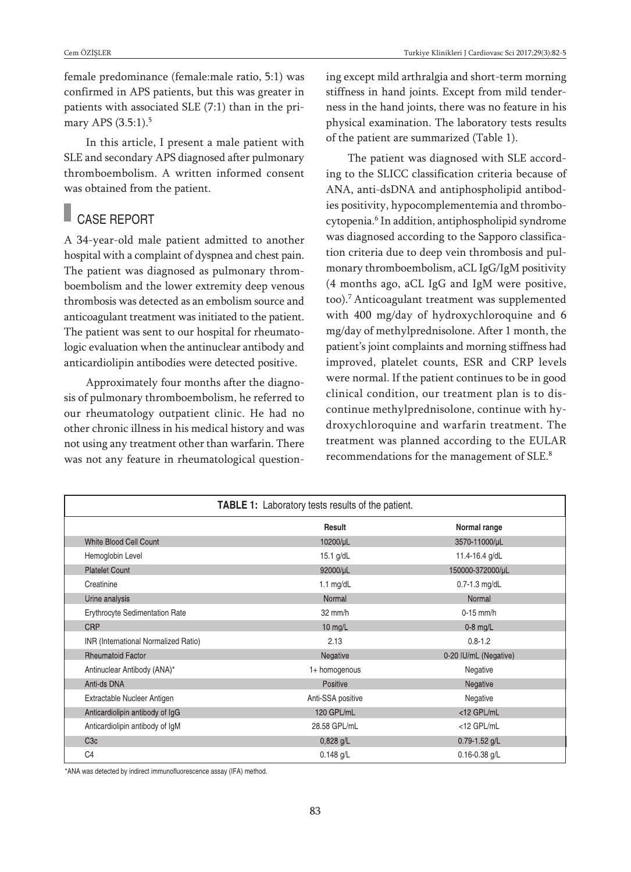female predominance (female:male ratio, 5:1) was confirmed in APS patients, but this was greater in patients with associated SLE (7:1) than in the primary APS (3.5:1). 5

In this article, I present a male patient with SLE and secondary APS diagnosed after pulmonary thromboembolism. A written informed consent was obtained from the patient.

# CASE REPORT

A 34-year-old male patient admitted to another hospital with a complaint of dyspnea and chest pain. The patient was diagnosed as pulmonary thromboembolism and the lower extremity deep venous thrombosis was detected as an embolism source and anticoagulant treatment was initiated to the patient. The patient was sent to our hospital for rheumatologic evaluation when the antinuclear antibody and anticardiolipin antibodies were detected positive.

Approximately four months after the diagnosis of pulmonary thromboembolism, he referred to our rheumatology outpatient clinic. He had no other chronic illness in his medical history and was not using any treatment other than warfarin. There was not any feature in rheumatological questioning except mild arthralgia and short-term morning stiffness in hand joints. Except from mild tenderness in the hand joints, there was no feature in his physical examination. The laboratory tests results of the patient are summarized (Table 1).

The patient was diagnosed with SLE according to the SLICC classification criteria because of ANA, anti-dsDNA and antiphospholipid antibodies positivity, hypocomplementemia and thrombocytopenia. <sup>6</sup> In addition, antiphospholipid syndrome was diagnosed according to the Sapporo classification criteria due to deep vein thrombosis and pulmonary thromboembolism, aCL IgG/IgM positivity (4 months ago, aCL IgG and IgM were positive, too). <sup>7</sup> Anticoagulant treatment was supplemented with 400 mg/day of hydroxychloroquine and 6 mg/day of methylprednisolone. After 1 month, the patient's joint complaints and morning stiffness had improved, platelet counts, ESR and CRP levels were normal. If the patient continues to be in good clinical condition, our treatment plan is to discontinue methylprednisolone, continue with hydroxychloroquine and warfarin treatment. The treatment was planned according to the EULAR recommendations for the management of SLE. 8

| <b>TABLE 1:</b> Laboratory tests results of the patient. |                   |                       |
|----------------------------------------------------------|-------------------|-----------------------|
|                                                          | Result            | Normal range          |
| White Blood Cell Count                                   | 10200/µL          | 3570-11000/µL         |
| Hemoglobin Level                                         | $15.1$ g/dL       | 11.4-16.4 g/dL        |
| <b>Platelet Count</b>                                    | 92000/µL          | 150000-372000/µL      |
| Creatinine                                               | 1.1 $mg/dL$       | $0.7 - 1.3$ mg/dL     |
| Urine analysis                                           | Normal            | Normal                |
| <b>Erythrocyte Sedimentation Rate</b>                    | $32 \text{ mm/h}$ | $0-15$ mm/h           |
| <b>CRP</b>                                               | 10 mg/L           | $0-8$ mg/L            |
| INR (International Normalized Ratio)                     | 2.13              | $0.8 - 1.2$           |
| <b>Rheumatoid Factor</b>                                 | Negative          | 0-20 IU/mL (Negative) |
| Antinuclear Antibody (ANA)*                              | 1+ homogenous     | Negative              |
| Anti-ds DNA                                              | Positive          | Negative              |
| Extractable Nucleer Antigen                              | Anti-SSA positive | Negative              |
| Anticardiolipin antibody of IgG                          | 120 GPL/mL        | <12 GPL/mL            |
| Anticardiolipin antibody of IgM                          | 28.58 GPL/mL      | <12 GPL/mL            |
| C <sub>3c</sub>                                          | $0,828$ g/L       | $0.79 - 1.52$ g/L     |
| C <sub>4</sub>                                           | $0.148$ g/L       | $0.16 - 0.38$ g/L     |

\*ANA was detected by indirect immunofluorescence assay (IFA) method.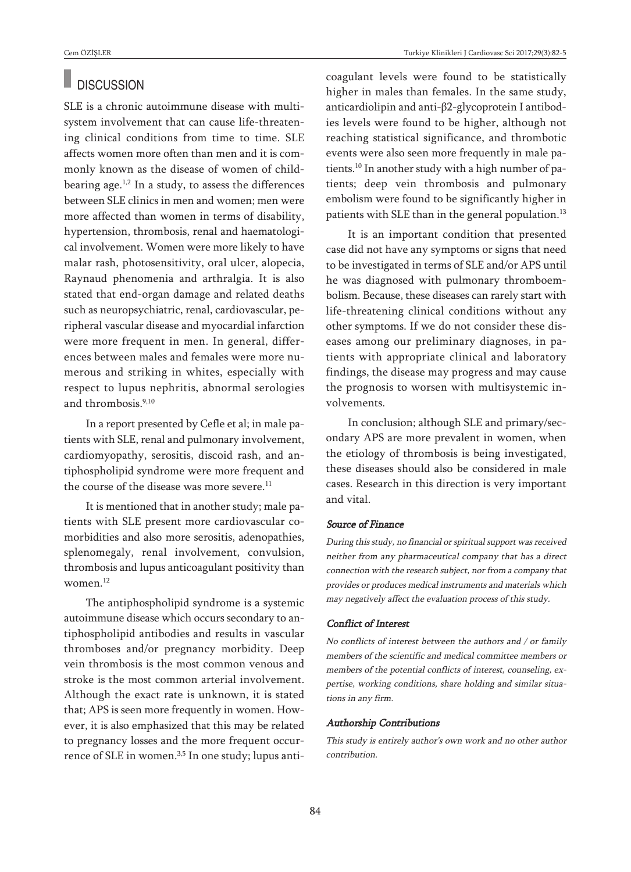### **DISCUSSION**

SLE is a chronic autoimmune disease with multisystem involvement that can cause life-threatening clinical conditions from time to time. SLE affects women more often than men and it is commonly known as the disease of women of childbearing age.<sup>1,2</sup> In a study, to assess the differences between SLE clinics in men and women; men were more affected than women in terms of disability, hypertension, thrombosis, renal and haematological involvement. Women were more likely to have malar rash, photosensitivity, oral ulcer, alopecia, Raynaud phenomenia and arthralgia. It is also stated that end-organ damage and related deaths such as neuropsychiatric, renal, cardiovascular, peripheral vascular disease and myocardial infarction were more frequent in men. In general, differences between males and females were more numerous and striking in whites, especially with respect to lupus nephritis, abnormal serologies and thrombosis. 9,10

In a report presented by Cefle et al; in male patients with SLE, renal and pulmonary involvement, cardiomyopathy, serositis, discoid rash, and antiphospholipid syndrome were more frequent and the course of the disease was more severe.<sup>11</sup>

It is mentioned that in another study; male patients with SLE present more cardiovascular comorbidities and also more serositis, adenopathies, splenomegaly, renal involvement, convulsion, thrombosis and lupus anticoagulant positivity than women. 12

The antiphospholipid syndrome is a systemic autoimmune disease which occurs secondary to antiphospholipid antibodies and results in vascular thromboses and/or pregnancy morbidity. Deep vein thrombosis is the most common venous and stroke is the most common arterial involvement. Although the exact rate is unknown, it is stated that; APS is seen more frequently in women. However, it is also emphasized that this may be related to pregnancy losses and the more frequent occurrence of SLE in women. 3,5 In one study; lupus anticoagulant levels were found to be statistically higher in males than females. In the same study, anticardiolipin and anti-β2-glycoprotein I antibodies levels were found to be higher, although not reaching statistical significance, and thrombotic events were also seen more frequently in male patients. <sup>10</sup> In another study with a high number of patients; deep vein thrombosis and pulmonary embolism were found to be significantly higher in patients with SLE than in the general population.<sup>13</sup>

It is an important condition that presented case did not have any symptoms or signs that need to be investigated in terms of SLE and/or APS until he was diagnosed with pulmonary thromboembolism. Because, these diseases can rarely start with life-threatening clinical conditions without any other symptoms. If we do not consider these diseases among our preliminary diagnoses, in patients with appropriate clinical and laboratory findings, the disease may progress and may cause the prognosis to worsen with multisystemic involvements.

In conclusion; although SLE and primary/secondary APS are more prevalent in women, when the etiology of thrombosis is being investigated, these diseases should also be considered in male cases. Research in this direction is very important and vital.

#### Source of Finance

During this study, no financial or spiritual support was received neither from any pharmaceutical company that has <sup>a</sup> direct connection with the research subject, nor from <sup>a</sup> company that provides or produces medical instruments and materials which may negatively affect the evaluation process of this study.

#### Conflict of Interest

No conflicts of interest between the authors and / or family members of the scientific and medical committee members or members of the potential conflicts of interest, counseling, expertise, working conditions, share holding and similar situations in any firm.

#### Authorship Contributions

This study is entirely author's own work and no other author contribution.